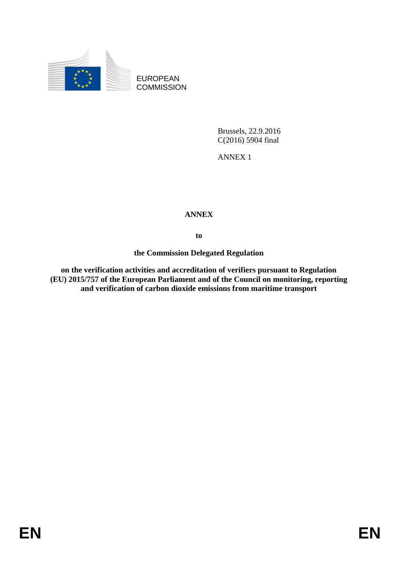

EUROPEAN **COMMISSION** 

> Brussels, 22.9.2016 C(2016) 5904 final

ANNEX 1

## **ANNEX**

**to**

**the Commission Delegated Regulation**

**on the verification activities and accreditation of verifiers pursuant to Regulation (EU) 2015/757 of the European Parliament and of the Council on monitoring, reporting and verification of carbon dioxide emissions from maritime transport**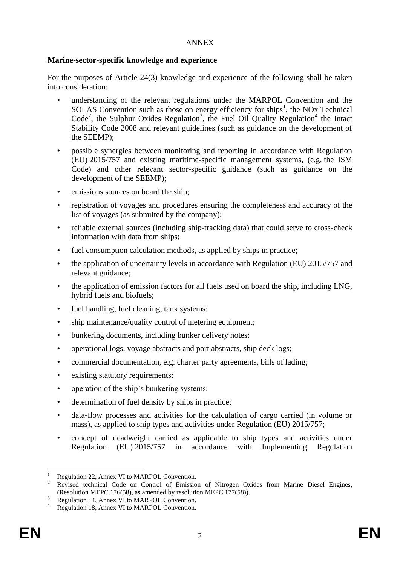## ANNEX

## **Marine-sector-specific knowledge and experience**

For the purposes of Article 24(3) knowledge and experience of the following shall be taken into consideration:

- understanding of the relevant regulations under the MARPOL Convention and the  $SOLAS$  Convention such as those on energy efficiency for ships<sup>1</sup>, the NOx Technical Code<sup>2</sup>, the Sulphur Oxides Regulation<sup>3</sup>, the Fuel Oil Quality Regulation<sup>4</sup> the Intact Stability Code 2008 and relevant guidelines (such as guidance on the development of the SEEMP);
- possible synergies between monitoring and reporting in accordance with Regulation (EU) 2015/757 and existing maritime-specific management systems, (e.g. the ISM Code) and other relevant sector-specific guidance (such as guidance on the development of the SEEMP);
- emissions sources on board the ship;
- registration of voyages and procedures ensuring the completeness and accuracy of the list of voyages (as submitted by the company);
- reliable external sources (including ship-tracking data) that could serve to cross-check information with data from ships;
- fuel consumption calculation methods, as applied by ships in practice;
- the application of uncertainty levels in accordance with Regulation (EU) 2015/757 and relevant guidance;
- the application of emission factors for all fuels used on board the ship, including LNG, hybrid fuels and biofuels;
- fuel handling, fuel cleaning, tank systems;
- ship maintenance/quality control of metering equipment;
- bunkering documents, including bunker delivery notes;
- operational logs, voyage abstracts and port abstracts, ship deck logs;
- commercial documentation, e.g. charter party agreements, bills of lading;
- existing statutory requirements;
- operation of the ship's bunkering systems;
- determination of fuel density by ships in practice;
- data-flow processes and activities for the calculation of cargo carried (in volume or mass), as applied to ship types and activities under Regulation (EU) 2015/757;
- concept of deadweight carried as applicable to ship types and activities under Regulation (EU) 2015/757 in accordance with Implementing Regulation

<sup>1</sup> <sup>1</sup> Regulation 22, Annex VI to MARPOL Convention.

<sup>2</sup> Revised technical Code on Control of Emission of Nitrogen Oxides from Marine Diesel Engines, (Resolution MEPC.176(58), as amended by resolution MEPC.177(58)).

<sup>&</sup>lt;sup>3</sup> Regulation 14, Annex VI to MARPOL Convention.

<sup>4</sup> Regulation 18, Annex VI to MARPOL Convention.